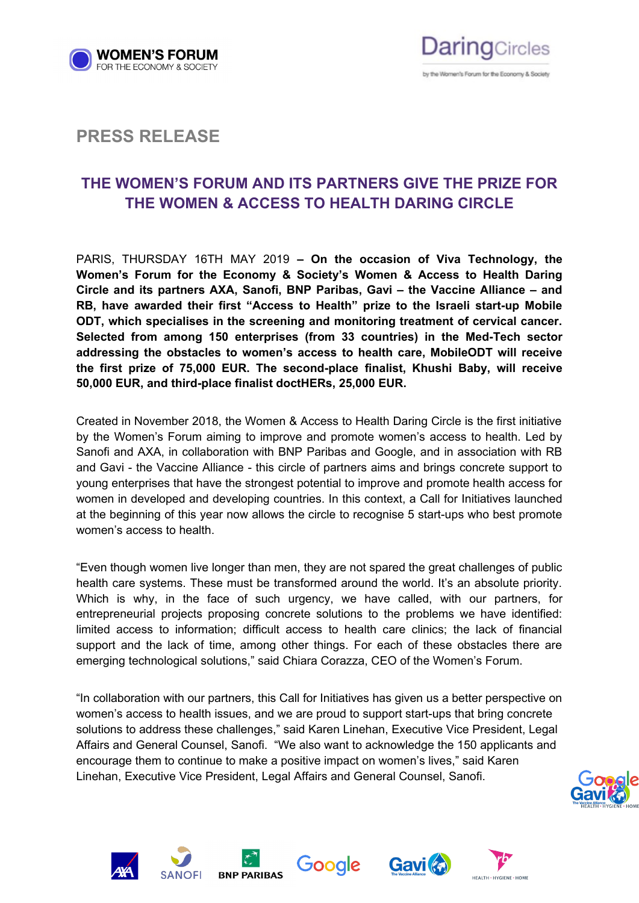



## **PRESS RELEASE**

# **THE WOMEN'S FORUM AND ITS PARTNERS GIVE THE PRIZE FOR THE WOMEN & ACCESS TO HEALTH DARING CIRCLE**

PARIS, THURSDAY 16TH MAY 2019 **– On the occasion of Viva Technology, the Women's Forum for the Economy & Society's Women & Access to Health Daring Circle and its partners AXA, Sanofi, BNP Paribas, Gavi – the Vaccine Alliance – and RB, have awarded their first "Access to Health" prize to the Israeli start-up Mobile ODT, which specialises in the screening and monitoring treatment of cervical cancer. Selected from among 150 enterprises (from 33 countries) in the Med-Tech sector addressing the obstacles to women's access to health care, MobileODT will receive the first prize of 75,000 EUR. The second-place finalist, Khushi Baby, will receive 50,000 EUR, and third-place finalist doctHERs, 25,000 EUR.**

Created in November 2018, the Women & Access to Health Daring Circle is the first initiative by the Women's Forum aiming to improve and promote women's access to health. Led by Sanofi and AXA, in collaboration with BNP Paribas and Google, and in association with RB and Gavi - the Vaccine Alliance - this circle of partners aims and brings concrete support to young enterprises that have the strongest potential to improve and promote health access for women in developed and developing countries. In this context, a Call for Initiatives launched at the beginning of this year now allows the circle to recognise 5 start-ups who best promote women's access to health.

"Even though women live longer than men, they are not spared the great challenges of public health care systems. These must be transformed around the world. It's an absolute priority. Which is why, in the face of such urgency, we have called, with our partners, for entrepreneurial projects proposing concrete solutions to the problems we have identified: limited access to information; difficult access to health care clinics; the lack of financial support and the lack of time, among other things. For each of these obstacles there are emerging technological solutions," said Chiara Corazza, CEO of the Women's Forum.

"In collaboration with our partners, this Call for Initiatives has given us a better perspective on women's access to health issues, and we are proud to support start-ups that bring concrete solutions to address these challenges," said Karen Linehan, Executive Vice President, Legal Affairs and General Counsel, Sanofi. "We also want to acknowledge the 150 applicants and encourage them to continue to make a positive impact on women's lives," said Karen Linehan, Executive Vice President, Legal Affairs and General Counsel, Sanofi.













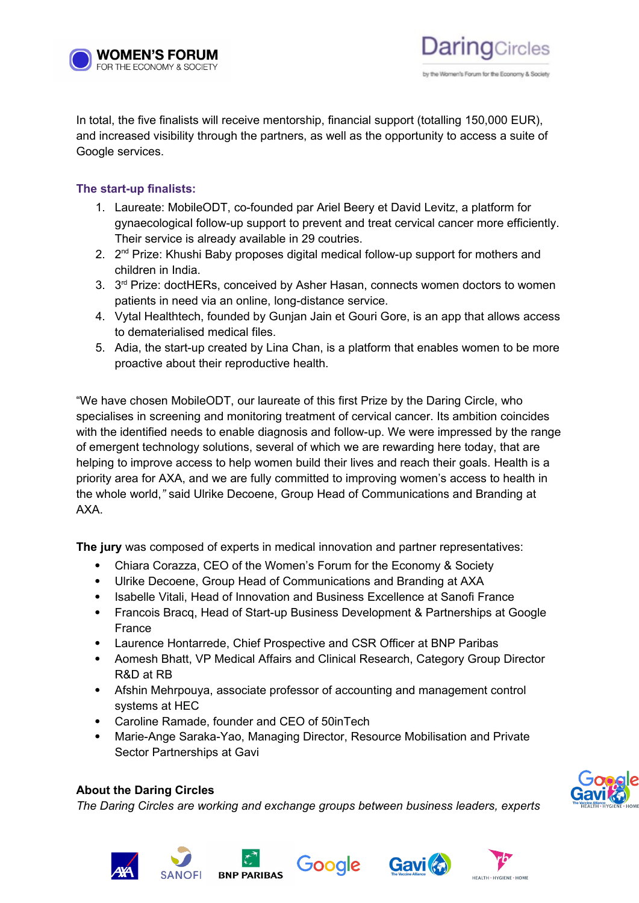

In total, the five finalists will receive mentorship, financial support (totalling 150,000 EUR), and increased visibility through the partners, as well as the opportunity to access a suite of Google services.

#### **The start-up finalists:**

- 1. Laureate: MobileODT, co-founded par Ariel Beery et David Levitz, a platform for gynaecological follow-up support to prevent and treat cervical cancer more efficiently. Their service is already available in 29 coutries.
- 2. 2<sup>nd</sup> Prize: Khushi Baby proposes digital medical follow-up support for mothers and children in India.
- 3. 3<sup>rd</sup> Prize: doctHERs, conceived by Asher Hasan, connects women doctors to women patients in need via an online, long-distance service.
- 4. Vytal Healthtech, founded by Gunjan Jain et Gouri Gore, is an app that allows access to dematerialised medical files.
- 5. Adia, the start-up created by Lina Chan, is a platform that enables women to be more proactive about their reproductive health.

"We have chosen MobileODT, our laureate of this first Prize by the Daring Circle, who specialises in screening and monitoring treatment of cervical cancer. Its ambition coincides with the identified needs to enable diagnosis and follow-up. We were impressed by the range of emergent technology solutions, several of which we are rewarding here today, that are helping to improve access to help women build their lives and reach their goals. Health is a priority area for AXA, and we are fully committed to improving women's access to health in the whole world,*"* said Ulrike Decoene, Group Head of Communications and Branding at AXA.

**The jury** was composed of experts in medical innovation and partner representatives:

- Chiara Corazza, CEO of the Women's Forum for the Economy & Society
- Ulrike Decoene, Group Head of Communications and Branding at AXA
- Isabelle Vitali, Head of Innovation and Business Excellence at Sanofi France
- Francois Bracq, Head of Start-up Business Development & Partnerships at Google France
- Laurence Hontarrede, Chief Prospective and CSR Officer at BNP Paribas
- Aomesh Bhatt, VP Medical Affairs and Clinical Research, Category Group Director R&D at RB
- Afshin Mehrpouya, associate professor of accounting and management control systems at HEC
- Caroline Ramade, founder and CEO of 50inTech
- Marie-Ange Saraka-Yao, Managing Director, Resource Mobilisation and Private Sector Partnerships at Gavi

### **About the Daring Circles**

*The Daring Circles are working and exchange groups between business leaders, experts* 













by the Women's Forum for the Frontomy & Society